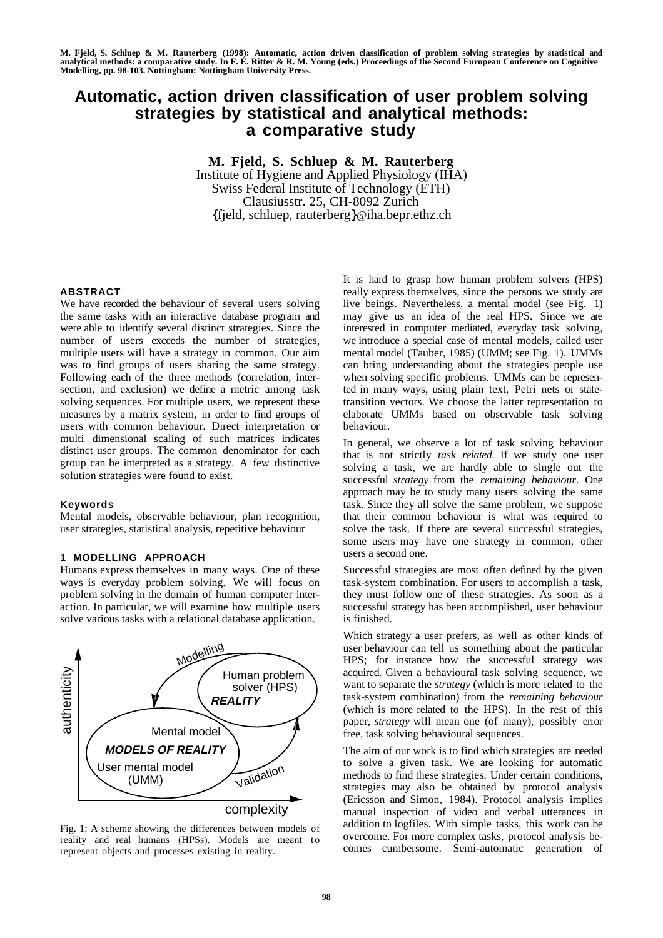# **Automatic, action driven classification of user problem solving strategies by statistical and analytical methods: a comparative study**

**M. Fjeld, S. Schluep & M. Rauterberg** Institute of Hygiene and Applied Physiology (IHA) Swiss Federal Institute of Technology (ETH) Clausiusstr. 25, CH-8092 Zurich {fjeld, schluep, rauterberg}@iha.bepr.ethz.ch

### **ABSTRACT**

We have recorded the behaviour of several users solving the same tasks with an interactive database program and were able to identify several distinct strategies. Since the number of users exceeds the number of strategies, multiple users will have a strategy in common. Our aim was to find groups of users sharing the same strategy. Following each of the three methods (correlation, intersection, and exclusion) we define a metric among task solving sequences. For multiple users, we represent these measures by a matrix system, in order to find groups of users with common behaviour. Direct interpretation or multi dimensional scaling of such matrices indicates distinct user groups. The common denominator for each group can be interpreted as a strategy. A few distinctive solution strategies were found to exist.

#### **Keywords**

Mental models, observable behaviour, plan recognition, user strategies, statistical analysis, repetitive behaviour

# **1 MODELLING APPROACH**

Humans express themselves in many ways. One of these ways is everyday problem solving. We will focus on problem solving in the domain of human computer interaction. In particular, we will examine how multiple users solve various tasks with a relational database application.



Fig. 1: A scheme showing the differences between models of reality and real humans (HPSs). Models are meant to represent objects and processes existing in reality.

It is hard to grasp how human problem solvers (HPS) really express themselves, since the persons we study are live beings. Nevertheless, a mental model (see Fig. 1) may give us an idea of the real HPS. Since we are interested in computer mediated, everyday task solving, we introduce a special case of mental models, called user mental model (Tauber, 1985) (UMM; see Fig. 1). UMMs can bring understanding about the strategies people use when solving specific problems. UMMs can be represented in many ways, using plain text, Petri nets or statetransition vectors. We choose the latter representation to elaborate UMMs based on observable task solving behaviour.

In general, we observe a lot of task solving behaviour that is not strictly *task related*. If we study one user solving a task, we are hardly able to single out the successful *strategy* from the *remaining behaviour*. One approach may be to study many users solving the same task. Since they all solve the same problem, we suppose that their common behaviour is what was required to solve the task. If there are several successful strategies, some users may have one strategy in common, other users a second one.

Successful strategies are most often defined by the given task-system combination. For users to accomplish a task, they must follow one of these strategies. As soon as a successful strategy has been accomplished, user behaviour is finished.

Which strategy a user prefers, as well as other kinds of user behaviour can tell us something about the particular HPS; for instance how the successful strategy was acquired. Given a behavioural task solving sequence, we want to separate the *strategy* (which is more related to the task-system combination) from the *remaining behaviour* (which is more related to the HPS). In the rest of this paper, *strategy* will mean one (of many), possibly error free, task solving behavioural sequences.

The aim of our work is to find which strategies are needed to solve a given task. We are looking for automatic methods to find these strategies. Under certain conditions, strategies may also be obtained by protocol analysis (Ericsson and Simon, 1984). Protocol analysis implies manual inspection of video and verbal utterances in addition to logfiles. With simple tasks, this work can be overcome. For more complex tasks, protocol analysis becomes cumbersome. Semi-automatic generation of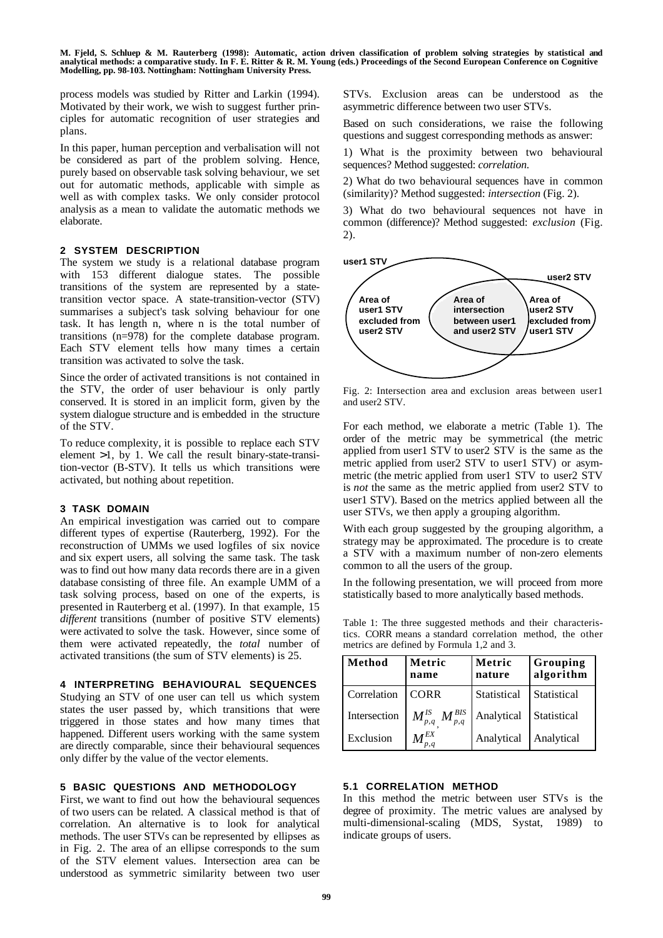process models was studied by Ritter and Larkin (1994). Motivated by their work, we wish to suggest further principles for automatic recognition of user strategies and plans.

In this paper, human perception and verbalisation will not be considered as part of the problem solving. Hence, purely based on observable task solving behaviour, we set out for automatic methods, applicable with simple as well as with complex tasks. We only consider protocol analysis as a mean to validate the automatic methods we elaborate.

# **2 SYSTEM DESCRIPTION**

The system we study is a relational database program with 153 different dialogue states. The possible transitions of the system are represented by a statetransition vector space. A state-transition-vector (STV) summarises a subject's task solving behaviour for one task. It has length n, where n is the total number of transitions (n=978) for the complete database program. Each STV element tells how many times a certain transition was activated to solve the task.

Since the order of activated transitions is not contained in the STV, the order of user behaviour is only partly conserved. It is stored in an implicit form, given by the system dialogue structure and is embedded in the structure of the STV.

To reduce complexity, it is possible to replace each STV element  $>1$ , by 1. We call the result binary-state-transition-vector (B-STV). It tells us which transitions were activated, but nothing about repetition.

## **3 TASK DOMAIN**

An empirical investigation was carried out to compare different types of expertise (Rauterberg, 1992). For the reconstruction of UMMs we used logfiles of six novice and six expert users, all solving the same task. The task was to find out how many data records there are in a given database consisting of three file. An example UMM of a task solving process, based on one of the experts, is presented in Rauterberg et al. (1997). In that example, 15 *different* transitions (number of positive STV elements) were activated to solve the task. However, since some of them were activated repeatedly, the *total* number of activated transitions (the sum of STV elements) is 25.

#### **4 INTERPRETING BEHAVIOURAL SEQUENCES**

Studying an STV of one user can tell us which system states the user passed by, which transitions that were triggered in those states and how many times that happened. Different users working with the same system are directly comparable, since their behavioural sequences only differ by the value of the vector elements.

### **5 BASIC QUESTIONS AND METHODOLOGY**

First, we want to find out how the behavioural sequences of two users can be related. A classical method is that of correlation. An alternative is to look for analytical methods. The user STVs can be represented by ellipses as in Fig. 2. The area of an ellipse corresponds to the sum of the STV element values. Intersection area can be understood as symmetric similarity between two user

STVs. Exclusion areas can be understood as the asymmetric difference between two user STVs.

Based on such considerations, we raise the following questions and suggest corresponding methods as answer:

1) What is the proximity between two behavioural sequences? Method suggested: *correlation*.

2) What do two behavioural sequences have in common (similarity)? Method suggested: *intersection* (Fig. 2).

3) What do two behavioural sequences not have in common (difference)? Method suggested: *exclusion* (Fig. 2).



Fig. 2: Intersection area and exclusion areas between user1 and user2 STV.

For each method, we elaborate a metric (Table 1). The order of the metric may be symmetrical (the metric applied from user1 STV to user2 STV is the same as the metric applied from user2 STV to user1 STV) or asymmetric (the metric applied from user1 STV to user2 STV is *not* the same as the metric applied from user2 STV to user1 STV). Based on the metrics applied between all the user STVs, we then apply a grouping algorithm.

With each group suggested by the grouping algorithm, a strategy may be approximated. The procedure is to create a STV with a maximum number of non-zero elements common to all the users of the group.

In the following presentation, we will proceed from more statistically based to more analytically based methods.

Table 1: The three suggested methods and their characteristics. CORR means a standard correlation method, the other metrics are defined by Formula 1,2 and 3.

| Method       | Metric<br>name                                       | Metric<br>nature | Grouping<br>algorithm |
|--------------|------------------------------------------------------|------------------|-----------------------|
| Correlation  | <b>CORR</b>                                          | Statistical      | Statistical           |
| Intersection | $\bm{M}^\textit{BIS}_{p,q}$<br>$\bm{M}^{I\!S}_{p,q}$ | Analytical       | Statistical           |
| Exclusion    | $M^{EX}$<br>p,q                                      | Analytical       | Analytical            |

# **5.1 CORRELATION METHOD**

In this method the metric between user STVs is the degree of proximity. The metric values are analysed by multi-dimensional-scaling (MDS, Systat, 1989) to indicate groups of users.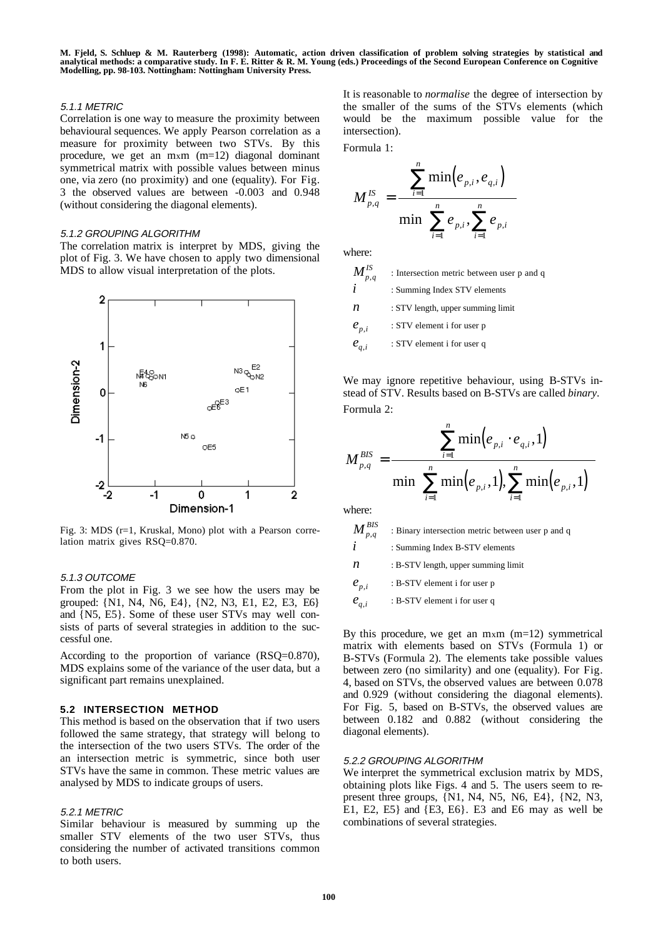### 5.1.1 METRIC

Correlation is one way to measure the proximity between behavioural sequences. We apply Pearson correlation as a measure for proximity between two STVs. By this procedure, we get an mxm (m=12) diagonal dominant symmetrical matrix with possible values between minus one, via zero (no proximity) and one (equality). For Fig. 3 the observed values are between -0.003 and 0.948 (without considering the diagonal elements).

#### 5.1.2 GROUPING ALGORITHM

The correlation matrix is interpret by MDS, giving the plot of Fig. 3. We have chosen to apply two dimensional MDS to allow visual interpretation of the plots.



Fig. 3: MDS (r=1, Kruskal, Mono) plot with a Pearson correlation matrix gives RSQ=0.870.

#### 5.1.3 OUTCOME

From the plot in Fig. 3 we see how the users may be grouped: {N1, N4, N6, E4}, {N2, N3, E1, E2, E3, E6} and {N5, E5}. Some of these user STVs may well consists of parts of several strategies in addition to the successful one.

According to the proportion of variance (RSQ=0.870), MDS explains some of the variance of the user data, but a significant part remains unexplained.

#### **5.2 INTERSECTION METHOD**

This method is based on the observation that if two users followed the same strategy, that strategy will belong to the intersection of the two users STVs. The order of the an intersection metric is symmetric, since both user STVs have the same in common. These metric values are analysed by MDS to indicate groups of users.

#### 5.2.1 METRIC

Similar behaviour is measured by summing up the smaller STV elements of the two user STVs, thus considering the number of activated transitions common to both users.

It is reasonable to *normalise* the degree of intersection by the smaller of the sums of the STVs elements (which would be the maximum possible value for the intersection).

Formula 1:

$$
M_{p,q}^{IS} = \frac{\displaystyle\sum_{i=1}^n \min\!\left(e_{p,i},e_{q,i}\right)}{\min\!\left(\sum_{i=1}^n e_{p,i},\sum_{i=1}^n e_{p,i}\right)}
$$

where:  $\overline{M}$ 

| $\bm{M}^{I\!S}_{p,q}$ | : Intersection metric between user p and q |
|-----------------------|--------------------------------------------|
| $\dot{i}$             | : Summing Index STV elements               |
| n                     | : STV length, upper summing limit          |
| $e_{p,i}$             | : STV element i for user p                 |
| $e_{q,i}$             | : STV element i for user q                 |
|                       |                                            |

We may ignore repetitive behaviour, using B-STVs instead of STV. Results based on B-STVs are called *binary*. Formula 2:

$$
M_{_{p,q}}^{\textit{BIS}} = \frac{\displaystyle\sum_{_{i=1}}^{_{n}} \min\!\left(e_{_{p,i}} \cdot e_{_{q,i}}, 1\right)}{\min\!\left(\sum_{_{i=1}}^{^{n}} \min\!\left(e_{_{p,i}}, 1\right)\!, \sum_{_{i=1}}^{^{n}} \min\!\left(e_{_{p,i}}, 1\right)\right)}
$$

where:

 $\bm{M}^\textit{BIS}_{p,q}$  $\sum_{p,q}^{BIS}$  : Binary intersection metric between user p and q  $i$  : Summing Index B-STV elements  $n$  : B-STV length, upper summing limit  $e_{p,i}$  : B-STV element i for user p  $e_{a,i}$  : B-STV element i for user q

By this procedure, we get an  $m \times m$  (m=12) symmetrical matrix with elements based on STVs (Formula 1) or B-STVs (Formula 2). The elements take possible values between zero (no similarity) and one (equality). For Fig. 4, based on STVs, the observed values are between 0.078 and 0.929 (without considering the diagonal elements). For Fig. 5, based on B-STVs, the observed values are between 0.182 and 0.882 (without considering the diagonal elements).

# 5.2.2 GROUPING ALGORITHM

We interpret the symmetrical exclusion matrix by MDS, obtaining plots like Figs. 4 and 5. The users seem to represent three groups, {N1, N4, N5, N6, E4}, {N2, N3, E1, E2, E5} and {E3, E6}. E3 and E6 may as well be combinations of several strategies.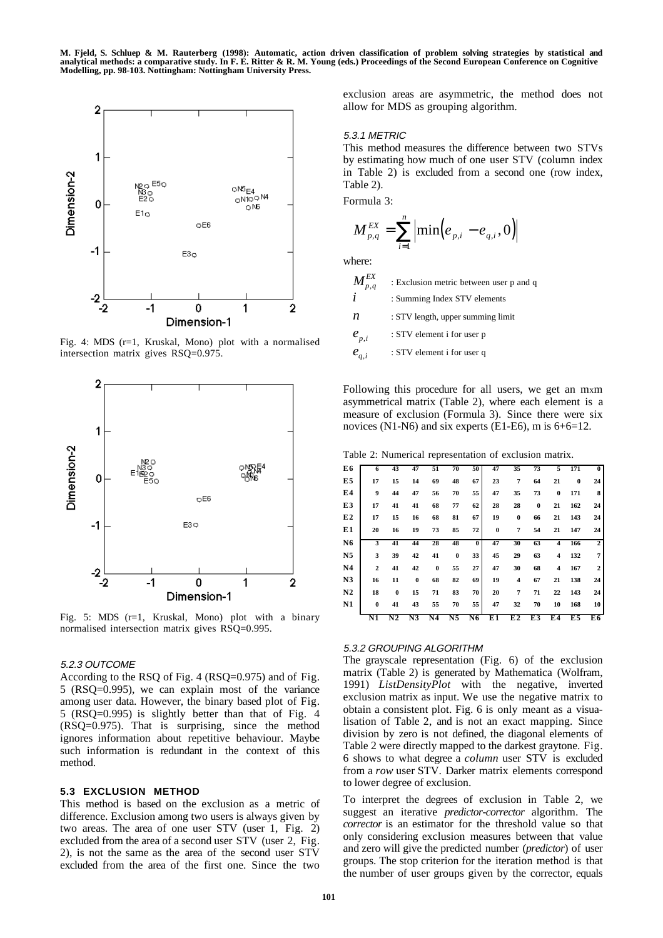

Fig. 4: MDS (r=1, Kruskal, Mono) plot with a normalised intersection matrix gives RSQ=0.975.



Fig. 5: MDS (r=1, Kruskal, Mono) plot with a binary normalised intersection matrix gives RSQ=0.995.

#### 5.2.3 OUTCOME

According to the RSQ of Fig. 4 (RSQ=0.975) and of Fig. 5 (RSQ=0.995), we can explain most of the variance among user data. However, the binary based plot of Fig. 5 (RSQ=0.995) is slightly better than that of Fig. 4 (RSQ=0.975). That is surprising, since the method ignores information about repetitive behaviour. Maybe such information is redundant in the context of this method.

### **5.3 EXCLUSION METHOD**

This method is based on the exclusion as a metric of difference. Exclusion among two users is always given by two areas. The area of one user STV (user 1, Fig. 2) excluded from the area of a second user STV (user 2, Fig. 2), is not the same as the area of the second user STV excluded from the area of the first one. Since the two

exclusion areas are asymmetric, the method does not allow for MDS as grouping algorithm.

#### 5.3.1 METRIC

This method measures the difference between two STVs by estimating how much of one user STV (column index in Table 2) is excluded from a second one (row index, Table 2).

Formula 3:

$$
M_{p,q}^{EX} = \sum_{i=1}^{n} \left| \min(e_{p,i} - e_{q,i}, 0) \right|
$$

where:

| $\bm{M}^{EX}_{p,q}$ | : Exclusion metric between user p and q |
|---------------------|-----------------------------------------|
|---------------------|-----------------------------------------|

*i* : Summing Index STV elements

 $n$  : STV length, upper summing limit

 $e_{n,i}$  : STV element i for user p

 $e_{q,i}$  : STV element i for user q

Following this procedure for all users, we get an mxm asymmetrical matrix (Table 2), where each element is a measure of exclusion (Formula 3). Since there were six novices (N1-N6) and six experts (E1-E6), m is  $6+6=12$ .

Table 2: Numerical representation of exclusion matrix.

| E6             | 6            | 43       | 47       | 51       | 70       | 50       | 47             | 35       | 73       | 5        | 171      | $\bf{0}$       |
|----------------|--------------|----------|----------|----------|----------|----------|----------------|----------|----------|----------|----------|----------------|
| E5             | 17           | 15       | 14       | 69       | 48       | 67       | 23             | 7        | 64       | 21       | $\bf{0}$ | 24             |
| E4             | 9            | 44       | 47       | 56       | 70       | 55       | 47             | 35       | 73       | $\bf{0}$ | 171      | 8              |
| E3             | 17           | 41       | 41       | 68       | 77       | 62       | 28             | 28       | $\bf{0}$ | 21       | 162      | 24             |
| E <sub>2</sub> | 17           | 15       | 16       | 68       | 81       | 67       | 19             | $\bf{0}$ | 66       | 21       | 143      | 24             |
| E1             | 20           | 16       | 19       | 73       | 85       | 72       | $\bf{0}$       | 7        | 54       | 21       | 147      | 24             |
| N6             | 3            | 41       | 44       | 28       | 48       | $\bf{0}$ | 47             | 30       | 63       | 4        | 166      | $\overline{2}$ |
| N <sub>5</sub> | 3            | 39       | 42       | 41       | $\bf{0}$ | 33       | 45             | 29       | 63       | 4        | 132      | $\overline{7}$ |
| N <sub>4</sub> | $\mathbf{2}$ | 41       | 42       | $\bf{0}$ | 55       | 27       | 47             | 30       | 68       | 4        | 167      | $\overline{2}$ |
| N3             | 16           | 11       | $\bf{0}$ | 68       | 82       | 69       | 19             | 4        | 67       | 21       | 138      | 24             |
| N <sub>2</sub> | 18           | $\bf{0}$ | 15       | 71       | 83       | 70       | 20             | 7        | 71       | 22       | 143      | 24             |
| N1             | $\bf{0}$     | 41       | 43       | 55       | 70       | 55       | 47             | 32       | 70       | 10       | 168      | 10             |
|                | N1           | N2       | N3       | N4       | N5       | N6       | E <sub>1</sub> | E2       | E3       | E4       | E5       | E6             |

#### 5.3.2 GROUPING ALGORITHM

The grayscale representation (Fig. 6) of the exclusion matrix (Table 2) is generated by Mathematica (Wolfram, 1991) *ListDensityPlot* with the negative, inverted exclusion matrix as input. We use the negative matrix to obtain a consistent plot. Fig. 6 is only meant as a visualisation of Table 2, and is not an exact mapping. Since division by zero is not defined, the diagonal elements of Table 2 were directly mapped to the darkest graytone. Fig. 6 shows to what degree a *column* user STV is excluded from a *row* user STV. Darker matrix elements correspond to lower degree of exclusion.

To interpret the degrees of exclusion in Table 2, we suggest an iterative *predictor-corrector* algorithm. The *corrector* is an estimator for the threshold value so that only considering exclusion measures between that value and zero will give the predicted number (*predictor*) of user groups. The stop criterion for the iteration method is that the number of user groups given by the corrector, equals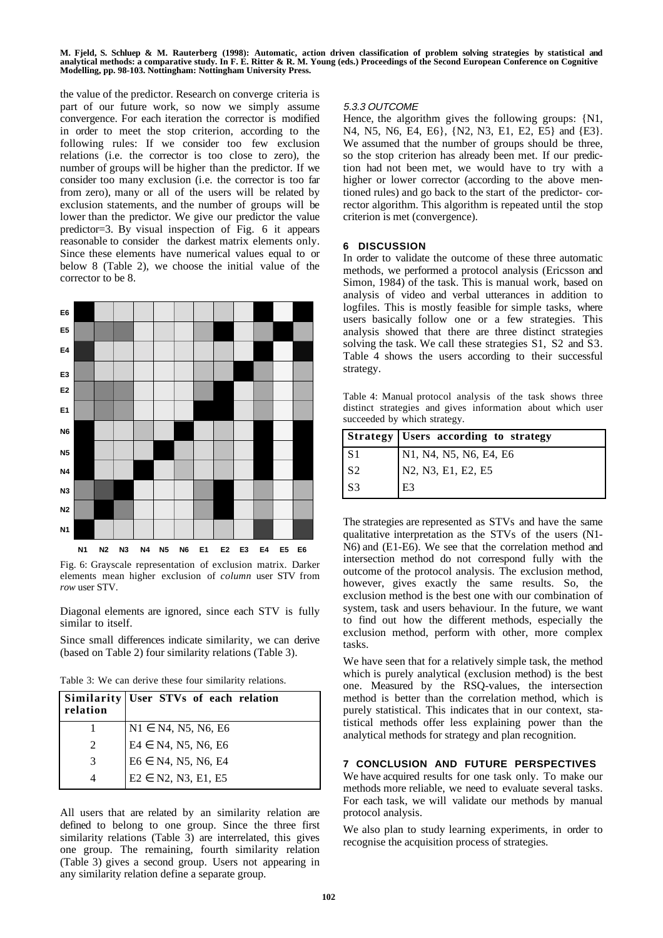the value of the predictor. Research on converge criteria is part of our future work, so now we simply assume convergence. For each iteration the corrector is modified in order to meet the stop criterion, according to the following rules: If we consider too few exclusion relations (i.e. the corrector is too close to zero), the number of groups will be higher than the predictor. If we consider too many exclusion (i.e. the corrector is too far from zero), many or all of the users will be related by exclusion statements, and the number of groups will be lower than the predictor. We give our predictor the value predictor=3. By visual inspection of Fig. 6 it appears reasonable to consider the darkest matrix elements only. Since these elements have numerical values equal to or below 8 (Table 2), we choose the initial value of the corrector to be 8.



Fig. 6: Grayscale representation of exclusion matrix. Darker elements mean higher exclusion of *column* user STV from *row* user STV.

Diagonal elements are ignored, since each STV is fully similar to itself.

Since small differences indicate similarity, we can derive (based on Table 2) four similarity relations (Table 3).

Table 3: We can derive these four similarity relations.

| relation | Similarity User STVs of each relation |
|----------|---------------------------------------|
|          | $N1 \in N4, N5, N6, E6$               |
|          | $E4 \in N4, N5, N6, E6$               |
| 3        | $E6 \in N4, N5, N6, E4$               |
|          | $E2 \in N2, N3, E1, E5$               |

All users that are related by an similarity relation are defined to belong to one group. Since the three first similarity relations (Table 3) are interrelated, this gives one group. The remaining, fourth similarity relation (Table 3) gives a second group. Users not appearing in any similarity relation define a separate group.

## 5.3.3 OUTCOME

Hence, the algorithm gives the following groups: {N1, N4, N5, N6, E4, E6}, {N2, N3, E1, E2, E5} and {E3}. We assumed that the number of groups should be three, so the stop criterion has already been met. If our prediction had not been met, we would have to try with a higher or lower corrector (according to the above mentioned rules) and go back to the start of the predictor- corrector algorithm. This algorithm is repeated until the stop criterion is met (convergence).

#### **6 DISCUSSION**

In order to validate the outcome of these three automatic methods, we performed a protocol analysis (Ericsson and Simon, 1984) of the task. This is manual work, based on analysis of video and verbal utterances in addition to logfiles. This is mostly feasible for simple tasks, where users basically follow one or a few strategies. This analysis showed that there are three distinct strategies solving the task. We call these strategies S1, S2 and S3. Table 4 shows the users according to their successful strategy.

Table 4: Manual protocol analysis of the task shows three distinct strategies and gives information about which user succeeded by which strategy.

|                | <b>Strategy   Users according to strategy</b> |
|----------------|-----------------------------------------------|
| S <sub>1</sub> | N1, N4, N5, N6, E4, E6                        |
| S <sub>2</sub> | N2, N3, E1, E2, E5                            |
| S <sub>3</sub> | E3                                            |

The strategies are represented as STVs and have the same qualitative interpretation as the STVs of the users (N1- N6) and (E1-E6). We see that the correlation method and intersection method do not correspond fully with the outcome of the protocol analysis. The exclusion method, however, gives exactly the same results. So, the exclusion method is the best one with our combination of system, task and users behaviour. In the future, we want to find out how the different methods, especially the exclusion method, perform with other, more complex tasks.

We have seen that for a relatively simple task, the method which is purely analytical (exclusion method) is the best one. Measured by the RSQ-values, the intersection method is better than the correlation method, which is purely statistical. This indicates that in our context, statistical methods offer less explaining power than the analytical methods for strategy and plan recognition.

# **7 CONCLUSION AND FUTURE PERSPECTIVES**

We have acquired results for one task only. To make our methods more reliable, we need to evaluate several tasks. For each task, we will validate our methods by manual protocol analysis.

We also plan to study learning experiments, in order to recognise the acquisition process of strategies.